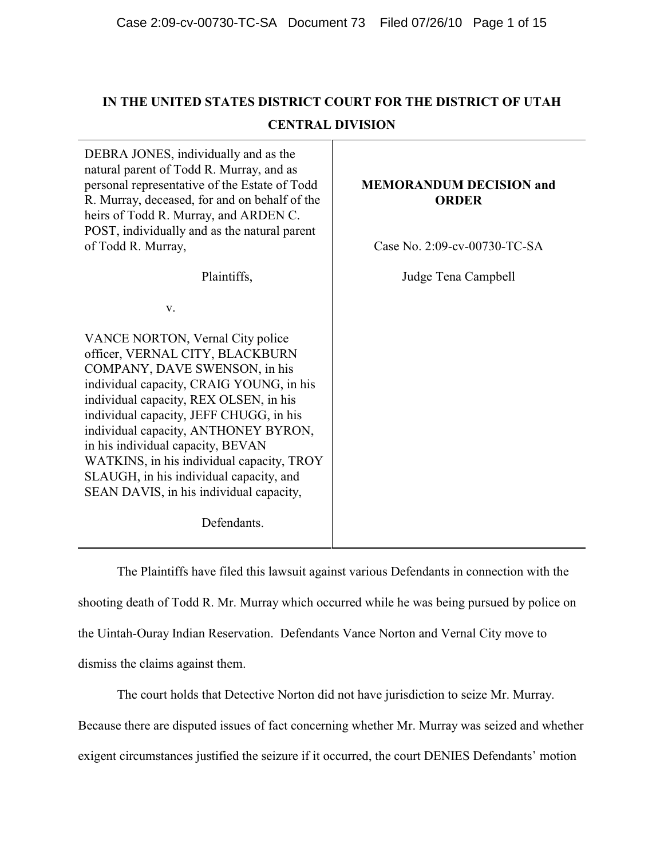# **IN THE UNITED STATES DISTRICT COURT FOR THE DISTRICT OF UTAH CENTRAL DIVISION**

DEBRA JONES, individually and as the natural parent of Todd R. Murray, and as personal representative of the Estate of Todd R. Murray, deceased, for and on behalf of the heirs of Todd R. Murray, and ARDEN C. POST, individually and as the natural parent of Todd R. Murray,

Plaintiffs,

v.

VANCE NORTON, Vernal City police officer, VERNAL CITY, BLACKBURN COMPANY, DAVE SWENSON, in his individual capacity, CRAIG YOUNG, in his individual capacity, REX OLSEN, in his individual capacity, JEFF CHUGG, in his individual capacity, ANTHONEY BYRON, in his individual capacity, BEVAN WATKINS, in his individual capacity, TROY SLAUGH, in his individual capacity, and SEAN DAVIS, in his individual capacity,

Defendants.

# **MEMORANDUM DECISION and ORDER**

Case No. 2:09-cv-00730-TC-SA

Judge Tena Campbell

The Plaintiffs have filed this lawsuit against various Defendants in connection with the shooting death of Todd R. Mr. Murray which occurred while he was being pursued by police on the Uintah-Ouray Indian Reservation. Defendants Vance Norton and Vernal City move to dismiss the claims against them.

The court holds that Detective Norton did not have jurisdiction to seize Mr. Murray. Because there are disputed issues of fact concerning whether Mr. Murray was seized and whether exigent circumstances justified the seizure if it occurred, the court DENIES Defendants' motion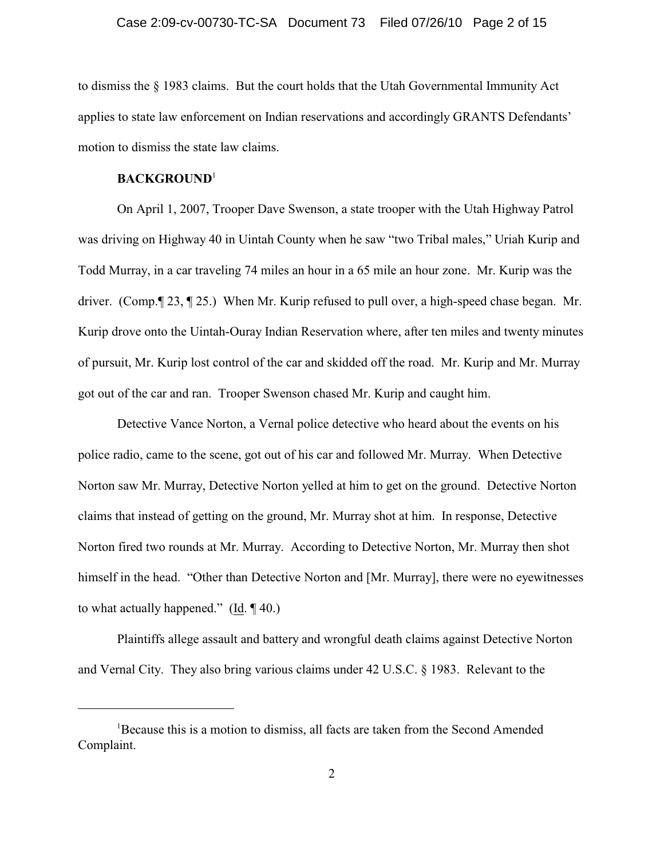## Case 2:09-cv-00730-TC-SA Document 73 Filed 07/26/10 Page 2 of 15

to dismiss the § 1983 claims. But the court holds that the Utah Governmental Immunity Act applies to state law enforcement on Indian reservations and accordingly GRANTS Defendants' motion to dismiss the state law claims.

## **BACKGROUND**<sup>1</sup>

On April 1, 2007, Trooper Dave Swenson, a state trooper with the Utah Highway Patrol was driving on Highway 40 in Uintah County when he saw "two Tribal males," Uriah Kurip and Todd Murray, in a car traveling 74 miles an hour in a 65 mile an hour zone. Mr. Kurip was the driver. (Comp.¶ 23, ¶ 25.) When Mr. Kurip refused to pull over, a high-speed chase began. Mr. Kurip drove onto the Uintah-Ouray Indian Reservation where, after ten miles and twenty minutes of pursuit, Mr. Kurip lost control of the car and skidded off the road. Mr. Kurip and Mr. Murray got out of the car and ran. Trooper Swenson chased Mr. Kurip and caught him.

Detective Vance Norton, a Vernal police detective who heard about the events on his police radio, came to the scene, got out of his car and followed Mr. Murray. When Detective Norton saw Mr. Murray, Detective Norton yelled at him to get on the ground. Detective Norton claims that instead of getting on the ground, Mr. Murray shot at him. In response, Detective Norton fired two rounds at Mr. Murray. According to Detective Norton, Mr. Murray then shot himself in the head. "Other than Detective Norton and [Mr. Murray], there were no eyewitnesses to what actually happened." (Id. ¶ 40.)

Plaintiffs allege assault and battery and wrongful death claims against Detective Norton and Vernal City. They also bring various claims under 42 U.S.C. § 1983. Relevant to the

<sup>&</sup>lt;sup>1</sup>Because this is a motion to dismiss, all facts are taken from the Second Amended Complaint.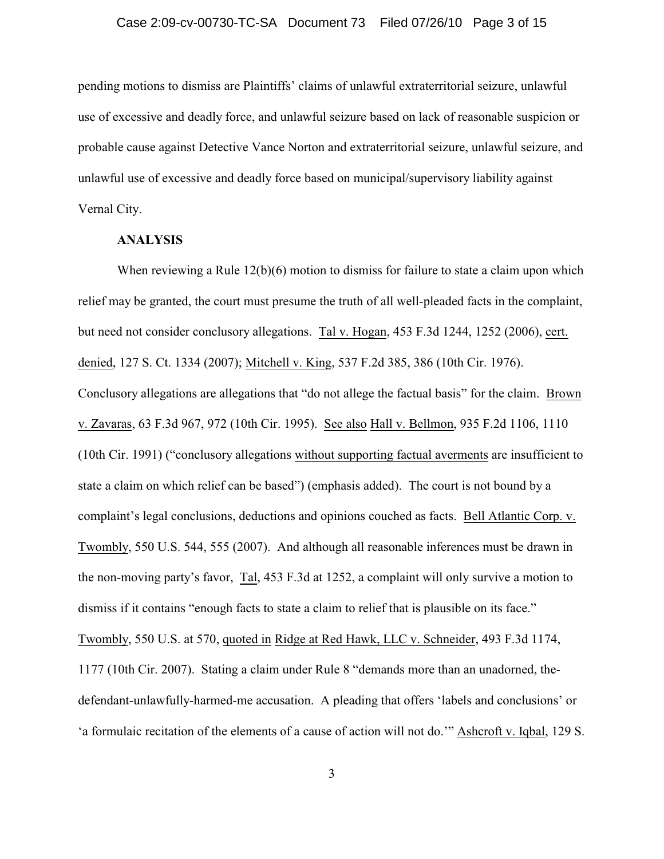## Case 2:09-cv-00730-TC-SA Document 73 Filed 07/26/10 Page 3 of 15

pending motions to dismiss are Plaintiffs' claims of unlawful extraterritorial seizure, unlawful use of excessive and deadly force, and unlawful seizure based on lack of reasonable suspicion or probable cause against Detective Vance Norton and extraterritorial seizure, unlawful seizure, and unlawful use of excessive and deadly force based on municipal/supervisory liability against Vernal City.

#### **ANALYSIS**

When reviewing a Rule 12(b)(6) motion to dismiss for failure to state a claim upon which relief may be granted, the court must presume the truth of all well-pleaded facts in the complaint, but need not consider conclusory allegations. Tal v. Hogan, 453 F.3d 1244, 1252 (2006), cert. denied, 127 S. Ct. 1334 (2007); Mitchell v. King, 537 F.2d 385, 386 (10th Cir. 1976). Conclusory allegations are allegations that "do not allege the factual basis" for the claim. Brown v. Zavaras, 63 F.3d 967, 972 (10th Cir. 1995). See also Hall v. Bellmon, 935 F.2d 1106, 1110 (10th Cir. 1991) ("conclusory allegations without supporting factual averments are insufficient to state a claim on which relief can be based") (emphasis added). The court is not bound by a complaint's legal conclusions, deductions and opinions couched as facts. Bell Atlantic Corp. v. Twombly, 550 U.S. 544, 555 (2007). And although all reasonable inferences must be drawn in the non-moving party's favor, Tal, 453 F.3d at 1252, a complaint will only survive a motion to dismiss if it contains "enough facts to state a claim to relief that is plausible on its face." Twombly, 550 U.S. at 570, quoted in Ridge at Red Hawk, LLC v. Schneider, 493 F.3d 1174, 1177 (10th Cir. 2007). Stating a claim under Rule 8 "demands more than an unadorned, thedefendant-unlawfully-harmed-me accusation. A pleading that offers 'labels and conclusions' or 'a formulaic recitation of the elements of a cause of action will not do.'" Ashcroft v. Iqbal, 129 S.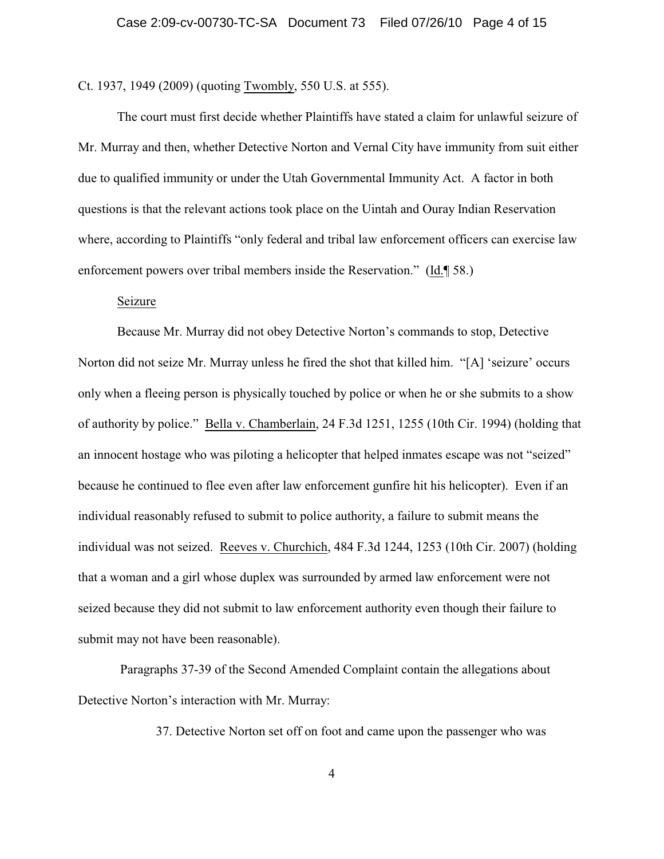Ct. 1937, 1949 (2009) (quoting Twombly, 550 U.S. at 555).

The court must first decide whether Plaintiffs have stated a claim for unlawful seizure of Mr. Murray and then, whether Detective Norton and Vernal City have immunity from suit either due to qualified immunity or under the Utah Governmental Immunity Act. A factor in both questions is that the relevant actions took place on the Uintah and Ouray Indian Reservation where, according to Plaintiffs "only federal and tribal law enforcement officers can exercise law enforcement powers over tribal members inside the Reservation." (Id.¶ 58.)

## Seizure

Because Mr. Murray did not obey Detective Norton's commands to stop, Detective Norton did not seize Mr. Murray unless he fired the shot that killed him. "[A] 'seizure' occurs only when a fleeing person is physically touched by police or when he or she submits to a show of authority by police." Bella v. Chamberlain, 24 F.3d 1251, 1255 (10th Cir. 1994) (holding that an innocent hostage who was piloting a helicopter that helped inmates escape was not "seized" because he continued to flee even after law enforcement gunfire hit his helicopter). Even if an individual reasonably refused to submit to police authority, a failure to submit means the individual was not seized. Reeves v. Churchich, 484 F.3d 1244, 1253 (10th Cir. 2007) (holding that a woman and a girl whose duplex was surrounded by armed law enforcement were not seized because they did not submit to law enforcement authority even though their failure to submit may not have been reasonable).

 Paragraphs 37-39 of the Second Amended Complaint contain the allegations about Detective Norton's interaction with Mr. Murray:

37. Detective Norton set off on foot and came upon the passenger who was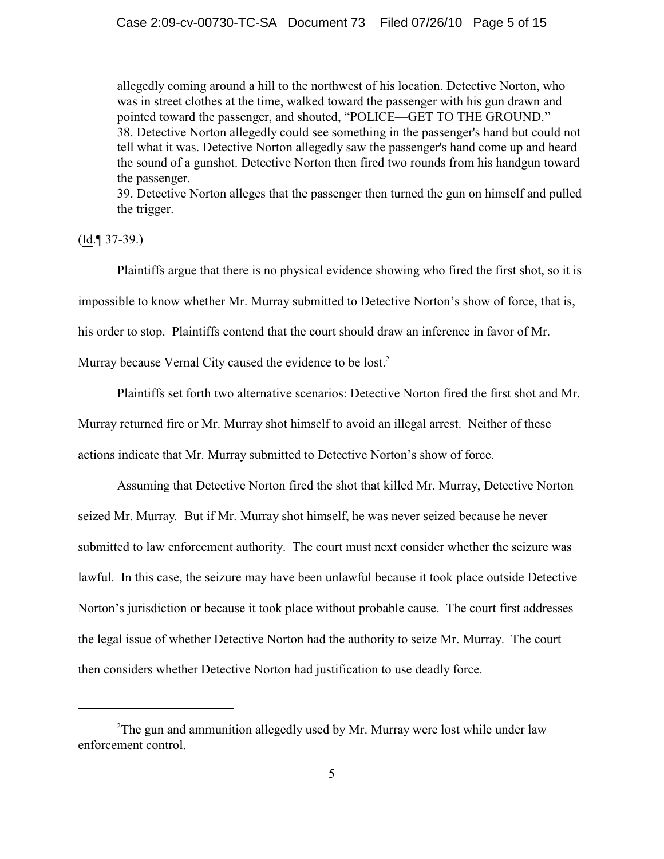allegedly coming around a hill to the northwest of his location. Detective Norton, who was in street clothes at the time, walked toward the passenger with his gun drawn and pointed toward the passenger, and shouted, "POLICE—GET TO THE GROUND." 38. Detective Norton allegedly could see something in the passenger's hand but could not tell what it was. Detective Norton allegedly saw the passenger's hand come up and heard the sound of a gunshot. Detective Norton then fired two rounds from his handgun toward the passenger.

39. Detective Norton alleges that the passenger then turned the gun on himself and pulled the trigger.

 $(Id. \mathcal{F} 37-39.)$ 

Plaintiffs argue that there is no physical evidence showing who fired the first shot, so it is impossible to know whether Mr. Murray submitted to Detective Norton's show of force, that is, his order to stop. Plaintiffs contend that the court should draw an inference in favor of Mr.

Murray because Vernal City caused the evidence to be lost.<sup>2</sup>

Plaintiffs set forth two alternative scenarios: Detective Norton fired the first shot and Mr.

Murray returned fire or Mr. Murray shot himself to avoid an illegal arrest. Neither of these

actions indicate that Mr. Murray submitted to Detective Norton's show of force.

Assuming that Detective Norton fired the shot that killed Mr. Murray, Detective Norton seized Mr. Murray*.* But if Mr. Murray shot himself, he was never seized because he never submitted to law enforcement authority. The court must next consider whether the seizure was lawful. In this case, the seizure may have been unlawful because it took place outside Detective Norton's jurisdiction or because it took place without probable cause. The court first addresses the legal issue of whether Detective Norton had the authority to seize Mr. Murray. The court then considers whether Detective Norton had justification to use deadly force.

 $2$ The gun and ammunition allegedly used by Mr. Murray were lost while under law enforcement control.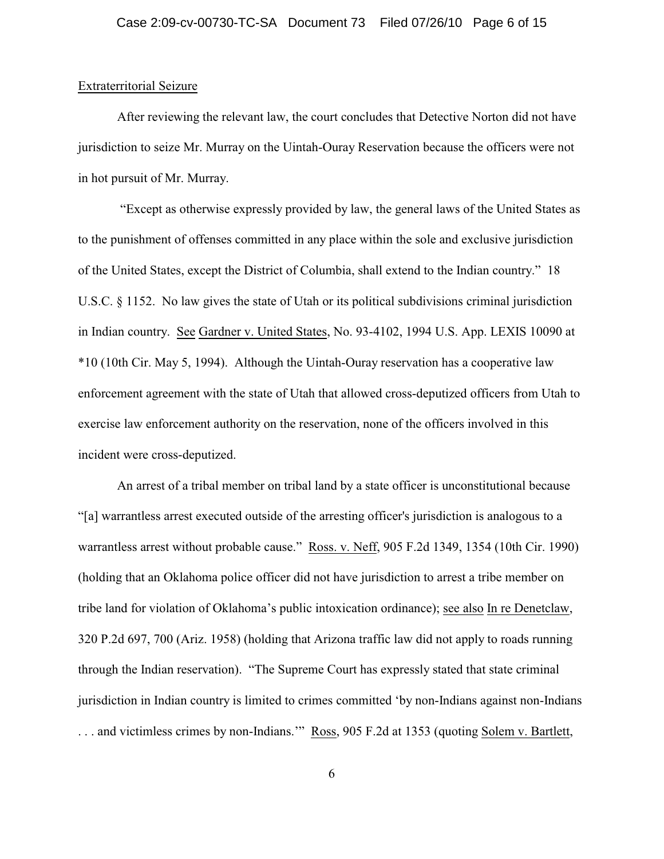## Extraterritorial Seizure

After reviewing the relevant law, the court concludes that Detective Norton did not have jurisdiction to seize Mr. Murray on the Uintah-Ouray Reservation because the officers were not in hot pursuit of Mr. Murray.

 "Except as otherwise expressly provided by law, the general laws of the United States as to the punishment of offenses committed in any place within the sole and exclusive jurisdiction of the United States, except the District of Columbia, shall extend to the Indian country." 18 U.S.C. § 1152. No law gives the state of Utah or its political subdivisions criminal jurisdiction in Indian country. See Gardner v. United States, No. 93-4102, 1994 U.S. App. LEXIS 10090 at \*10 (10th Cir. May 5, 1994). Although the Uintah-Ouray reservation has a cooperative law enforcement agreement with the state of Utah that allowed cross-deputized officers from Utah to exercise law enforcement authority on the reservation, none of the officers involved in this incident were cross-deputized.

An arrest of a tribal member on tribal land by a state officer is unconstitutional because "[a] warrantless arrest executed outside of the arresting officer's jurisdiction is analogous to a warrantless arrest without probable cause." Ross. v. Neff, 905 F.2d 1349, 1354 (10th Cir. 1990) (holding that an Oklahoma police officer did not have jurisdiction to arrest a tribe member on tribe land for violation of Oklahoma's public intoxication ordinance); see also In re Denetclaw, 320 P.2d 697, 700 (Ariz. 1958) (holding that Arizona traffic law did not apply to roads running through the Indian reservation). "The Supreme Court has expressly stated that state criminal jurisdiction in Indian country is limited to crimes committed 'by non-Indians against non-Indians . . . and victimless crimes by non-Indians.'" Ross, 905 F.2d at 1353 (quoting Solem v. Bartlett,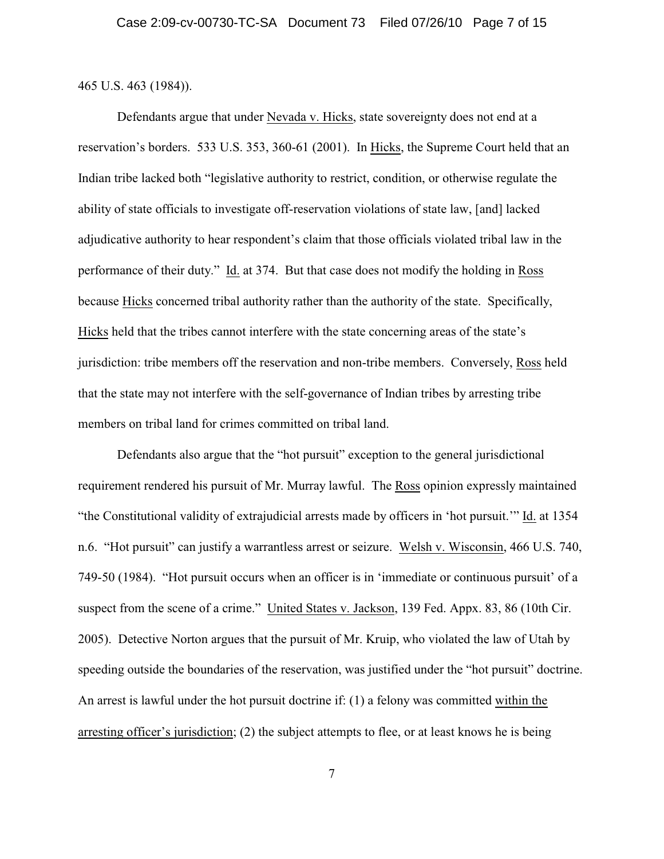465 U.S. 463 (1984)).

Defendants argue that under Nevada v. Hicks, state sovereignty does not end at a reservation's borders. 533 U.S. 353, 360-61 (2001). In Hicks, the Supreme Court held that an Indian tribe lacked both "legislative authority to restrict, condition, or otherwise regulate the ability of state officials to investigate off-reservation violations of state law, [and] lacked adjudicative authority to hear respondent's claim that those officials violated tribal law in the performance of their duty." Id. at 374. But that case does not modify the holding in Ross because Hicks concerned tribal authority rather than the authority of the state. Specifically, Hicks held that the tribes cannot interfere with the state concerning areas of the state's jurisdiction: tribe members off the reservation and non-tribe members. Conversely, Ross held that the state may not interfere with the self-governance of Indian tribes by arresting tribe members on tribal land for crimes committed on tribal land.

Defendants also argue that the "hot pursuit" exception to the general jurisdictional requirement rendered his pursuit of Mr. Murray lawful. The Ross opinion expressly maintained "the Constitutional validity of extrajudicial arrests made by officers in 'hot pursuit.'" Id. at 1354 n.6. "Hot pursuit" can justify a warrantless arrest or seizure. Welsh v. Wisconsin, 466 U.S. 740, 749-50 (1984). "Hot pursuit occurs when an officer is in 'immediate or continuous pursuit' of a suspect from the scene of a crime." United States v. Jackson, 139 Fed. Appx. 83, 86 (10th Cir. 2005). Detective Norton argues that the pursuit of Mr. Kruip, who violated the law of Utah by speeding outside the boundaries of the reservation, was justified under the "hot pursuit" doctrine. An arrest is lawful under the hot pursuit doctrine if: (1) a felony was committed within the arresting officer's jurisdiction; (2) the subject attempts to flee, or at least knows he is being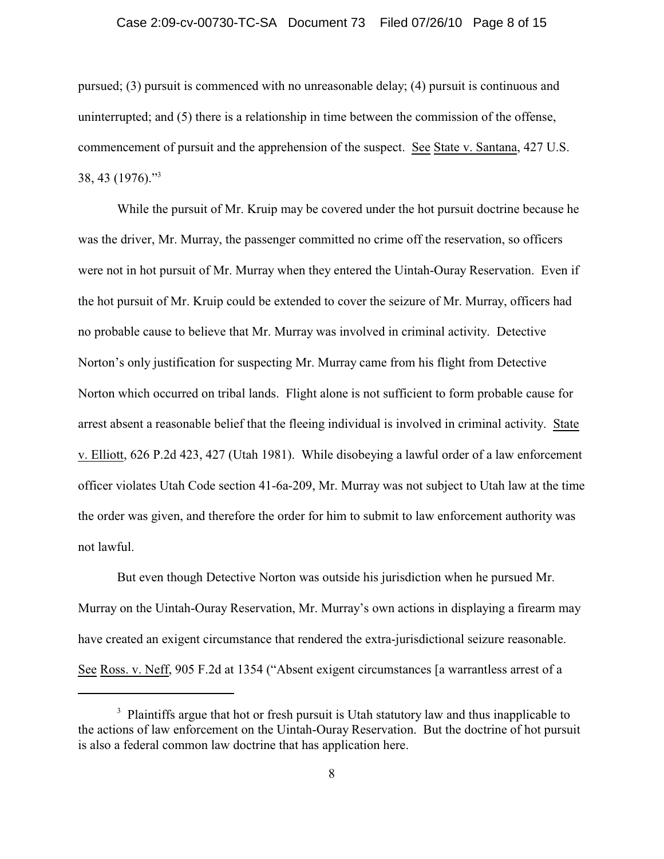## Case 2:09-cv-00730-TC-SA Document 73 Filed 07/26/10 Page 8 of 15

pursued; (3) pursuit is commenced with no unreasonable delay; (4) pursuit is continuous and uninterrupted; and (5) there is a relationship in time between the commission of the offense, commencement of pursuit and the apprehension of the suspect. See State v. Santana, 427 U.S.  $38, 43$  (1976)."<sup>3</sup>

While the pursuit of Mr. Kruip may be covered under the hot pursuit doctrine because he was the driver, Mr. Murray, the passenger committed no crime off the reservation, so officers were not in hot pursuit of Mr. Murray when they entered the Uintah-Ouray Reservation. Even if the hot pursuit of Mr. Kruip could be extended to cover the seizure of Mr. Murray, officers had no probable cause to believe that Mr. Murray was involved in criminal activity. Detective Norton's only justification for suspecting Mr. Murray came from his flight from Detective Norton which occurred on tribal lands. Flight alone is not sufficient to form probable cause for arrest absent a reasonable belief that the fleeing individual is involved in criminal activity. State v. Elliott, 626 P.2d 423, 427 (Utah 1981). While disobeying a lawful order of a law enforcement officer violates Utah Code section 41-6a-209, Mr. Murray was not subject to Utah law at the time the order was given, and therefore the order for him to submit to law enforcement authority was not lawful.

But even though Detective Norton was outside his jurisdiction when he pursued Mr. Murray on the Uintah-Ouray Reservation, Mr. Murray's own actions in displaying a firearm may have created an exigent circumstance that rendered the extra-jurisdictional seizure reasonable. See Ross. v. Neff, 905 F.2d at 1354 ("Absent exigent circumstances [a warrantless arrest of a

<sup>&</sup>lt;sup>3</sup> Plaintiffs argue that hot or fresh pursuit is Utah statutory law and thus inapplicable to the actions of law enforcement on the Uintah-Ouray Reservation. But the doctrine of hot pursuit is also a federal common law doctrine that has application here.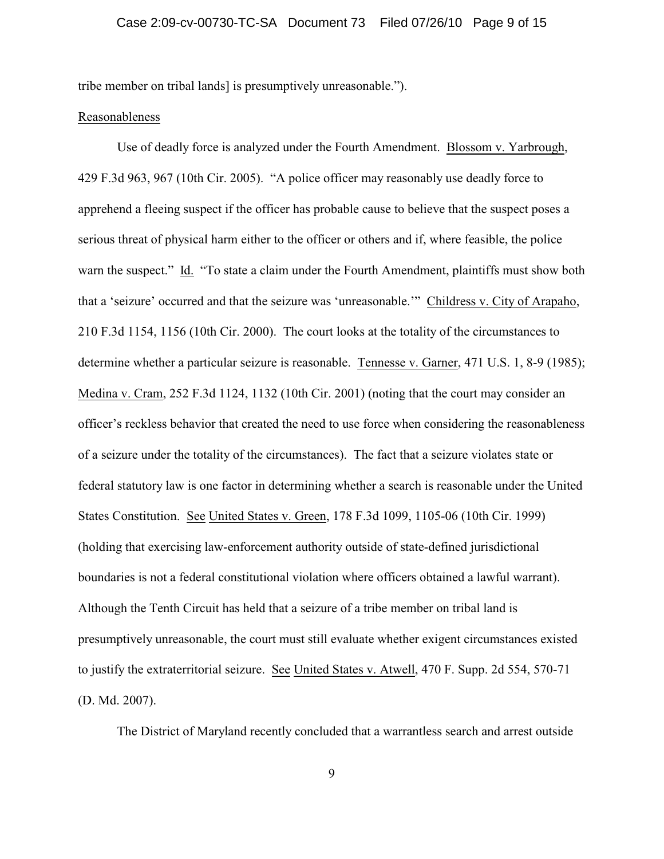tribe member on tribal lands] is presumptively unreasonable.").

## Reasonableness

Use of deadly force is analyzed under the Fourth Amendment. Blossom v. Yarbrough, 429 F.3d 963, 967 (10th Cir. 2005). "A police officer may reasonably use deadly force to apprehend a fleeing suspect if the officer has probable cause to believe that the suspect poses a serious threat of physical harm either to the officer or others and if, where feasible, the police warn the suspect." Id. "To state a claim under the Fourth Amendment, plaintiffs must show both that a 'seizure' occurred and that the seizure was 'unreasonable.'" Childress v. City of Arapaho, 210 F.3d 1154, 1156 (10th Cir. 2000). The court looks at the totality of the circumstances to determine whether a particular seizure is reasonable. Tennesse v. Garner, 471 U.S. 1, 8-9 (1985); Medina v. Cram, 252 F.3d 1124, 1132 (10th Cir. 2001) (noting that the court may consider an officer's reckless behavior that created the need to use force when considering the reasonableness of a seizure under the totality of the circumstances). The fact that a seizure violates state or federal statutory law is one factor in determining whether a search is reasonable under the United States Constitution. See United States v. Green, 178 F.3d 1099, 1105-06 (10th Cir. 1999) (holding that exercising law-enforcement authority outside of state-defined jurisdictional boundaries is not a federal constitutional violation where officers obtained a lawful warrant). Although the Tenth Circuit has held that a seizure of a tribe member on tribal land is presumptively unreasonable, the court must still evaluate whether exigent circumstances existed to justify the extraterritorial seizure. See United States v. Atwell, 470 F. Supp. 2d 554, 570-71 (D. Md. 2007).

The District of Maryland recently concluded that a warrantless search and arrest outside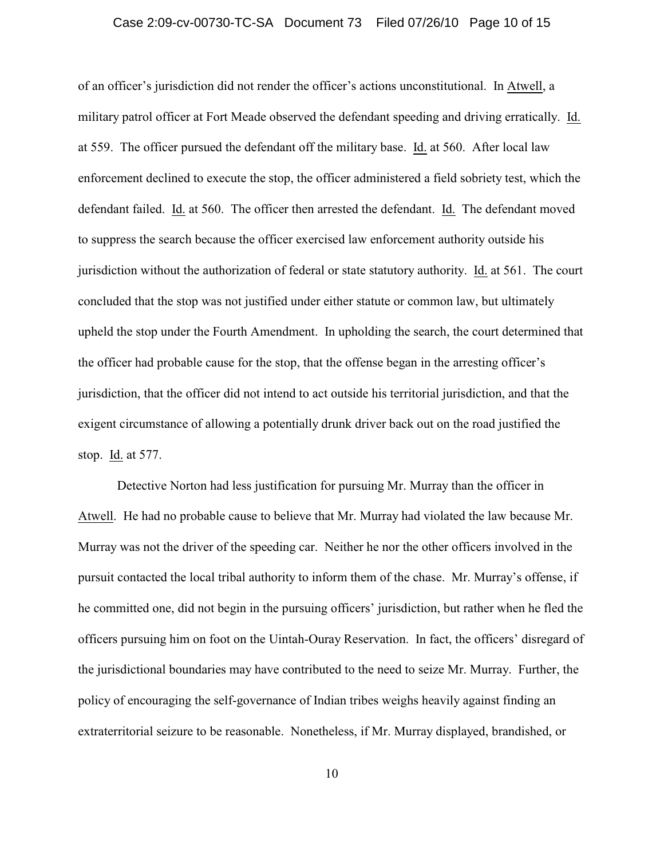## Case 2:09-cv-00730-TC-SA Document 73 Filed 07/26/10 Page 10 of 15

of an officer's jurisdiction did not render the officer's actions unconstitutional. In Atwell, a military patrol officer at Fort Meade observed the defendant speeding and driving erratically. Id. at 559. The officer pursued the defendant off the military base. Id. at 560. After local law enforcement declined to execute the stop, the officer administered a field sobriety test, which the defendant failed. Id. at 560. The officer then arrested the defendant. Id. The defendant moved to suppress the search because the officer exercised law enforcement authority outside his jurisdiction without the authorization of federal or state statutory authority. Id. at 561. The court concluded that the stop was not justified under either statute or common law, but ultimately upheld the stop under the Fourth Amendment. In upholding the search, the court determined that the officer had probable cause for the stop, that the offense began in the arresting officer's jurisdiction, that the officer did not intend to act outside his territorial jurisdiction, and that the exigent circumstance of allowing a potentially drunk driver back out on the road justified the stop. Id. at 577.

Detective Norton had less justification for pursuing Mr. Murray than the officer in Atwell. He had no probable cause to believe that Mr. Murray had violated the law because Mr. Murray was not the driver of the speeding car. Neither he nor the other officers involved in the pursuit contacted the local tribal authority to inform them of the chase. Mr. Murray's offense, if he committed one, did not begin in the pursuing officers' jurisdiction, but rather when he fled the officers pursuing him on foot on the Uintah-Ouray Reservation. In fact, the officers' disregard of the jurisdictional boundaries may have contributed to the need to seize Mr. Murray. Further, the policy of encouraging the self-governance of Indian tribes weighs heavily against finding an extraterritorial seizure to be reasonable. Nonetheless, if Mr. Murray displayed, brandished, or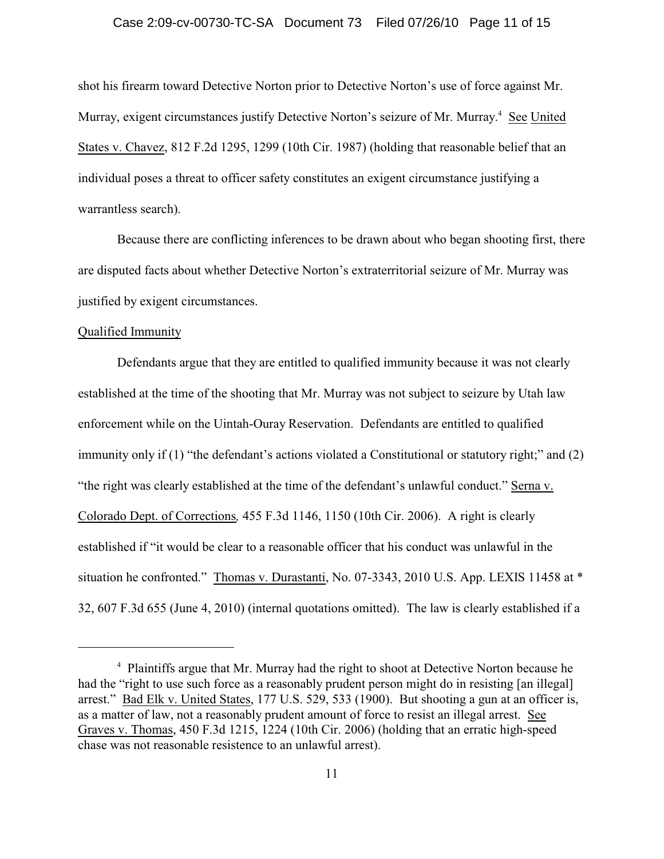## Case 2:09-cv-00730-TC-SA Document 73 Filed 07/26/10 Page 11 of 15

shot his firearm toward Detective Norton prior to Detective Norton's use of force against Mr. Murray, exigent circumstances justify Detective Norton's seizure of Mr. Murray.<sup>4</sup> See United States v. Chavez, 812 F.2d 1295, 1299 (10th Cir. 1987) (holding that reasonable belief that an individual poses a threat to officer safety constitutes an exigent circumstance justifying a warrantless search).

Because there are conflicting inferences to be drawn about who began shooting first, there are disputed facts about whether Detective Norton's extraterritorial seizure of Mr. Murray was justified by exigent circumstances.

## Qualified Immunity

Defendants argue that they are entitled to qualified immunity because it was not clearly established at the time of the shooting that Mr. Murray was not subject to seizure by Utah law enforcement while on the Uintah-Ouray Reservation. Defendants are entitled to qualified immunity only if (1) "the defendant's actions violated a Constitutional or statutory right;" and (2) "the right was clearly established at the time of the defendant's unlawful conduct." Serna v. Colorado Dept. of Corrections*,* 455 F.3d 1146, 1150 (10th Cir. 2006). A right is clearly established if "it would be clear to a reasonable officer that his conduct was unlawful in the situation he confronted." Thomas v. Durastanti, No. 07-3343, 2010 U.S. App. LEXIS 11458 at \* 32, 607 F.3d 655 (June 4, 2010) (internal quotations omitted). The law is clearly established if a

<sup>&</sup>lt;sup>4</sup> Plaintiffs argue that Mr. Murray had the right to shoot at Detective Norton because he had the "right to use such force as a reasonably prudent person might do in resisting [an illegal] arrest." Bad Elk v. United States, 177 U.S. 529, 533 (1900). But shooting a gun at an officer is, as a matter of law, not a reasonably prudent amount of force to resist an illegal arrest. See Graves v. Thomas, 450 F.3d 1215, 1224 (10th Cir. 2006) (holding that an erratic high-speed chase was not reasonable resistence to an unlawful arrest).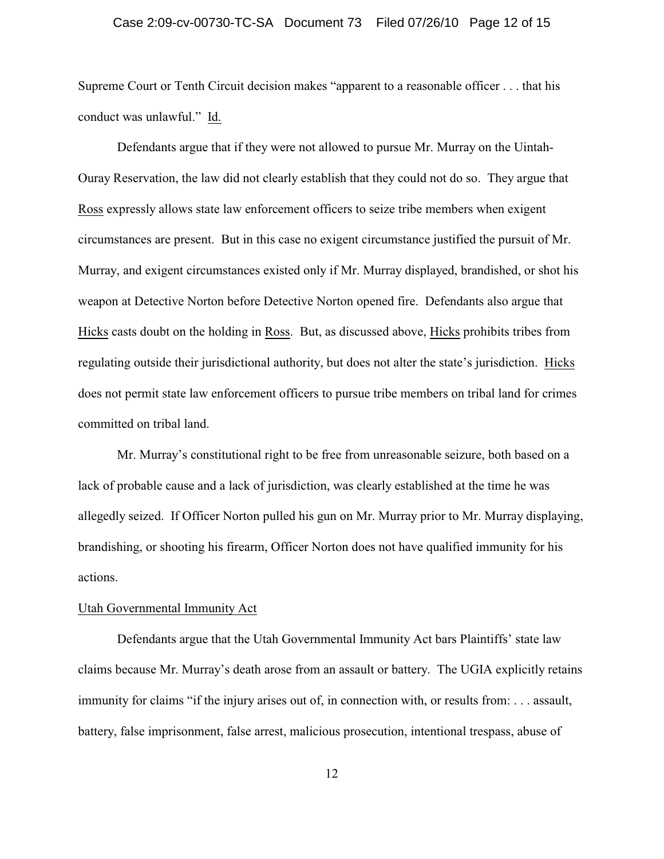## Case 2:09-cv-00730-TC-SA Document 73 Filed 07/26/10 Page 12 of 15

Supreme Court or Tenth Circuit decision makes "apparent to a reasonable officer . . . that his conduct was unlawful." Id.

Defendants argue that if they were not allowed to pursue Mr. Murray on the Uintah-Ouray Reservation, the law did not clearly establish that they could not do so. They argue that Ross expressly allows state law enforcement officers to seize tribe members when exigent circumstances are present. But in this case no exigent circumstance justified the pursuit of Mr. Murray, and exigent circumstances existed only if Mr. Murray displayed, brandished, or shot his weapon at Detective Norton before Detective Norton opened fire. Defendants also argue that Hicks casts doubt on the holding in Ross. But, as discussed above, Hicks prohibits tribes from regulating outside their jurisdictional authority, but does not alter the state's jurisdiction. Hicks does not permit state law enforcement officers to pursue tribe members on tribal land for crimes committed on tribal land.

Mr. Murray's constitutional right to be free from unreasonable seizure, both based on a lack of probable cause and a lack of jurisdiction, was clearly established at the time he was allegedly seized. If Officer Norton pulled his gun on Mr. Murray prior to Mr. Murray displaying, brandishing, or shooting his firearm, Officer Norton does not have qualified immunity for his actions.

## Utah Governmental Immunity Act

Defendants argue that the Utah Governmental Immunity Act bars Plaintiffs' state law claims because Mr. Murray's death arose from an assault or battery. The UGIA explicitly retains immunity for claims "if the injury arises out of, in connection with, or results from: . . . assault, battery, false imprisonment, false arrest, malicious prosecution, intentional trespass, abuse of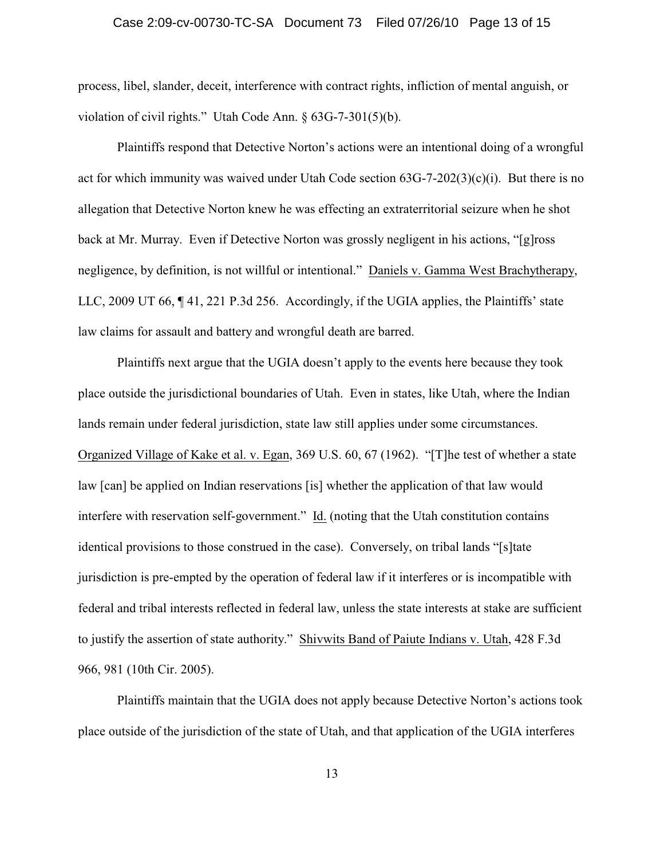## Case 2:09-cv-00730-TC-SA Document 73 Filed 07/26/10 Page 13 of 15

process, libel, slander, deceit, interference with contract rights, infliction of mental anguish, or violation of civil rights." Utah Code Ann. § 63G-7-301(5)(b).

Plaintiffs respond that Detective Norton's actions were an intentional doing of a wrongful act for which immunity was waived under Utah Code section  $63G-7-202(3)(c)(i)$ . But there is no allegation that Detective Norton knew he was effecting an extraterritorial seizure when he shot back at Mr. Murray. Even if Detective Norton was grossly negligent in his actions, "[g]ross negligence, by definition, is not willful or intentional." Daniels v. Gamma West Brachytherapy, LLC, 2009 UT 66, ¶ 41, 221 P.3d 256. Accordingly, if the UGIA applies, the Plaintiffs' state law claims for assault and battery and wrongful death are barred.

Plaintiffs next argue that the UGIA doesn't apply to the events here because they took place outside the jurisdictional boundaries of Utah. Even in states, like Utah, where the Indian lands remain under federal jurisdiction, state law still applies under some circumstances. Organized Village of Kake et al. v. Egan, 369 U.S. 60, 67 (1962). "[T]he test of whether a state law [can] be applied on Indian reservations [is] whether the application of that law would interfere with reservation self-government." Id. (noting that the Utah constitution contains identical provisions to those construed in the case). Conversely, on tribal lands "[s]tate jurisdiction is pre-empted by the operation of federal law if it interferes or is incompatible with federal and tribal interests reflected in federal law, unless the state interests at stake are sufficient to justify the assertion of state authority." Shivwits Band of Paiute Indians v. Utah, 428 F.3d 966, 981 (10th Cir. 2005).

Plaintiffs maintain that the UGIA does not apply because Detective Norton's actions took place outside of the jurisdiction of the state of Utah, and that application of the UGIA interferes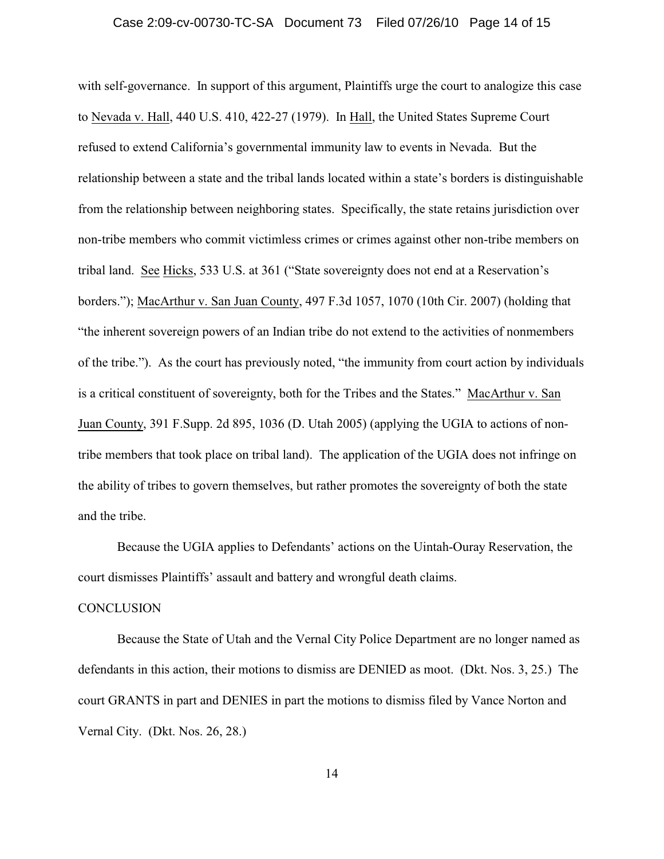## Case 2:09-cv-00730-TC-SA Document 73 Filed 07/26/10 Page 14 of 15

with self-governance. In support of this argument, Plaintiffs urge the court to analogize this case to Nevada v. Hall, 440 U.S. 410, 422-27 (1979). In Hall, the United States Supreme Court refused to extend California's governmental immunity law to events in Nevada. But the relationship between a state and the tribal lands located within a state's borders is distinguishable from the relationship between neighboring states. Specifically, the state retains jurisdiction over non-tribe members who commit victimless crimes or crimes against other non-tribe members on tribal land. See Hicks, 533 U.S. at 361 ("State sovereignty does not end at a Reservation's borders."); MacArthur v. San Juan County, 497 F.3d 1057, 1070 (10th Cir. 2007) (holding that "the inherent sovereign powers of an Indian tribe do not extend to the activities of nonmembers of the tribe."). As the court has previously noted, "the immunity from court action by individuals is a critical constituent of sovereignty, both for the Tribes and the States." MacArthur v. San Juan County, 391 F.Supp. 2d 895, 1036 (D. Utah 2005) (applying the UGIA to actions of nontribe members that took place on tribal land). The application of the UGIA does not infringe on the ability of tribes to govern themselves, but rather promotes the sovereignty of both the state and the tribe.

Because the UGIA applies to Defendants' actions on the Uintah-Ouray Reservation, the court dismisses Plaintiffs' assault and battery and wrongful death claims.

## **CONCLUSION**

Because the State of Utah and the Vernal City Police Department are no longer named as defendants in this action, their motions to dismiss are DENIED as moot. (Dkt. Nos. 3, 25.) The court GRANTS in part and DENIES in part the motions to dismiss filed by Vance Norton and Vernal City. (Dkt. Nos. 26, 28.)